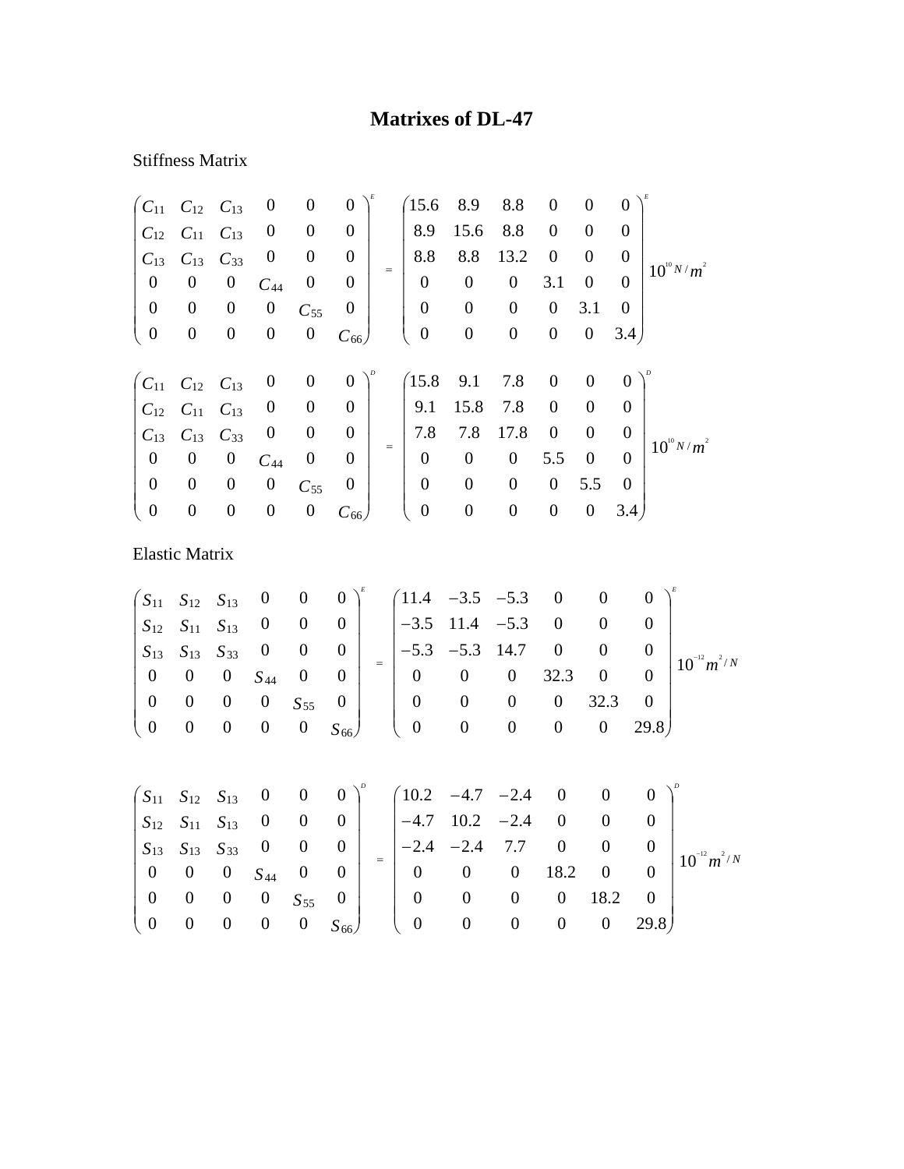## **Matrixes of DL-47**

## Stiffness Matrix

| $C_{11}$                | $C_{12}$              | $C_{13}$         | $\boldsymbol{0}$                                                        | $\boldsymbol{0}$ | $\boldsymbol{0}$        | 15.6                                               | 8.9              | 8.8              | $\boldsymbol{0}$ | $\boldsymbol{0}$ | $\boldsymbol{0}$ |                                      |  |
|-------------------------|-----------------------|------------------|-------------------------------------------------------------------------|------------------|-------------------------|----------------------------------------------------|------------------|------------------|------------------|------------------|------------------|--------------------------------------|--|
| $C_{12}$                | $C_{11}$              | $C_{13}$         | $\boldsymbol{0}$                                                        | $\boldsymbol{0}$ | $\boldsymbol{0}$        | 8.9                                                | 15.6             | 8.8              | $\boldsymbol{0}$ | $\boldsymbol{0}$ | $\boldsymbol{0}$ |                                      |  |
| $C_{13}$                | $C_{13}$              | $C_{33}$         | $\boldsymbol{0}$                                                        | $\boldsymbol{0}$ | $\boldsymbol{0}$        | 8.8                                                | 8.8              | 13.2             | $\boldsymbol{0}$ | $\boldsymbol{0}$ | $\boldsymbol{0}$ |                                      |  |
| $\boldsymbol{0}$        | $\boldsymbol{0}$      | $\boldsymbol{0}$ | $C_{44}$                                                                | $\boldsymbol{0}$ | $\boldsymbol{0}$        | $=$<br>$\boldsymbol{0}$                            | $\boldsymbol{0}$ | $\boldsymbol{0}$ | 3.1              | $\boldsymbol{0}$ | $\boldsymbol{0}$ | $10^{10} N/m^2$                      |  |
| $\boldsymbol{0}$        | $\boldsymbol{0}$      | $\boldsymbol{0}$ | $\boldsymbol{0}$                                                        | $C_{55}$         | $\boldsymbol{0}$        | $\boldsymbol{0}$                                   | $\boldsymbol{0}$ | $\boldsymbol{0}$ | $\boldsymbol{0}$ | 3.1              | $\boldsymbol{0}$ |                                      |  |
| $\boldsymbol{0}$        | $\boldsymbol{0}$      | $\boldsymbol{0}$ | $\boldsymbol{0}$                                                        | $\boldsymbol{0}$ | $C_{66}$                | $\boldsymbol{0}$                                   | $\boldsymbol{0}$ | $\boldsymbol{0}$ | $\boldsymbol{0}$ | $\boldsymbol{0}$ | 3.4)             |                                      |  |
| $\int C_{11}$           | $C_{12}$              | $C_{13}$         | $\boldsymbol{0}$                                                        | $\boldsymbol{0}$ | $\boldsymbol{0}$        | 15.8                                               | 9.1              | 7.8              | $\boldsymbol{0}$ | $\boldsymbol{0}$ | $\boldsymbol{0}$ |                                      |  |
| $C_{12}$                | $C_{11}$              | $C_{13}$         | $\boldsymbol{0}$                                                        | $\boldsymbol{0}$ | $\boldsymbol{0}$        | 9.1                                                | 15.8             | 7.8              | $\boldsymbol{0}$ | $\boldsymbol{0}$ | $\boldsymbol{0}$ |                                      |  |
| $C_{13}$                | $C_{13}$              | $C_{33}$         | $\boldsymbol{0}$                                                        | $\boldsymbol{0}$ | $\boldsymbol{0}$        | 7.8                                                | 7.8              | 17.8             | $\boldsymbol{0}$ | $\boldsymbol{0}$ | $\boldsymbol{0}$ |                                      |  |
| $\boldsymbol{0}$        | $\boldsymbol{0}$      | $\boldsymbol{0}$ | $C_{44}$                                                                | $\boldsymbol{0}$ | $\boldsymbol{0}$        | $\boldsymbol{0}$                                   | $\boldsymbol{0}$ | $\boldsymbol{0}$ | 5.5              | $\boldsymbol{0}$ | $\overline{0}$   | $10^{10} N/m^2$                      |  |
| $\boldsymbol{0}$        | $\boldsymbol{0}$      | $\boldsymbol{0}$ | $\boldsymbol{0}$                                                        | $C_{55}$         | $\boldsymbol{0}$        | $\boldsymbol{0}$                                   | $\boldsymbol{0}$ | $\boldsymbol{0}$ | $\boldsymbol{0}$ | 5.5              | $\boldsymbol{0}$ |                                      |  |
| $\boldsymbol{0}$        | $\boldsymbol{0}$      | $\boldsymbol{0}$ | $\boldsymbol{0}$                                                        | $\boldsymbol{0}$ | $C_{66}$                | $\overline{0}$                                     | $\boldsymbol{0}$ | $\boldsymbol{0}$ | $\boldsymbol{0}$ | $\boldsymbol{0}$ | 3.4)             |                                      |  |
|                         | <b>Elastic Matrix</b> |                  |                                                                         |                  |                         |                                                    |                  |                  |                  |                  |                  |                                      |  |
| $S_{11}$                | $S_{12}$              | $S_{13}$         | $\boldsymbol{0}$                                                        | $\boldsymbol{0}$ | $\boldsymbol{0}$        | (11.4)                                             | $-3.5$           | $-5.3$           | $\boldsymbol{0}$ | $\overline{0}$   |                  | $\Omega$                             |  |
| $S_{12}$                | $S_{11}$              | $S_{13}$         | $\overline{0}$                                                          | $\boldsymbol{0}$ | $\overline{0}$          | $-3.5$                                             | 11.4             | $-5.3$           | $\boldsymbol{0}$ | $\boldsymbol{0}$ |                  | $\theta$                             |  |
| $S_{13}$                | $S_{13}$              | $S_{33}$         | $\boldsymbol{0}$                                                        | $\boldsymbol{0}$ | $\boldsymbol{0}$        | $-5.3$                                             | $-5.3$           | 14.7             | $\boldsymbol{0}$ | $\boldsymbol{0}$ |                  | $\boldsymbol{0}$                     |  |
| $\boldsymbol{0}$        | $\boldsymbol{0}$      | $\boldsymbol{0}$ | $S_{44}$                                                                | $\boldsymbol{0}$ | $=$<br>$\boldsymbol{0}$ | $\boldsymbol{0}$                                   | $\boldsymbol{0}$ | $\boldsymbol{0}$ | 32.3             | $\boldsymbol{0}$ |                  | $10^{-12} m^2/N$<br>$\boldsymbol{0}$ |  |
| $\boldsymbol{0}$        | $\boldsymbol{0}$      | $\boldsymbol{0}$ | $\boldsymbol{0}$                                                        | $S_{55}$         | $\boldsymbol{0}$        | $\boldsymbol{0}$                                   | $\boldsymbol{0}$ | $\boldsymbol{0}$ | $\boldsymbol{0}$ | 32.3             |                  | $\boldsymbol{0}$                     |  |
| $\boldsymbol{0}$        | $\boldsymbol{0}$      | $\boldsymbol{0}$ | $\boldsymbol{0}$                                                        | $\boldsymbol{0}$ | $S_{66}$                | $\boldsymbol{0}$                                   | $\boldsymbol{0}$ | $\boldsymbol{0}$ | $\boldsymbol{0}$ | $\boldsymbol{0}$ |                  | 29.8)                                |  |
|                         |                       |                  |                                                                         | $\boldsymbol{0}$ | $0^{\circ}$             |                                                    |                  |                  | $\boldsymbol{0}$ | $\boldsymbol{0}$ |                  | $\boldsymbol{0}$                     |  |
| $S_{11}$<br>$C_{\cdot}$ | $S_{12}$              | $S_{13}$         | $\boldsymbol{0}$<br>$\mathbf{c}$ $\mathbf{c}$ $\mathbf{0}$ $\mathbf{0}$ |                  | $\Omega$                | $\begin{pmatrix} 10.2 & -4.7 & -2.4 \end{pmatrix}$ |                  | $-47$ 102 $-24$  | $\Omega$         | $\Omega$         |                  | $\Omega$                             |  |

|  |  | $\begin{vmatrix} S_{13} & S_{13} & S_{33} & 0 & 0 & 0 \ 0 & 0 & 0 & S_{44} & 0 & 0 \end{vmatrix}$ |            |  | $\begin{vmatrix} S_{12} & S_{11} & S_{13} & 0 & 0 & 0 \ S_{13} & S_{13} & S_{33} & 0 & 0 & 0 \ 0 & 0 & 0 & S_{44} & 0 & 0 \end{vmatrix} = \begin{vmatrix} -4.7 & 10.2 & -2.4 & 0 & 0 & 0 \ -2.4 & -2.4 & 7.7 & 0 & 0 & 0 \ 0 & 0 & 0 & 18.2 & 0 & 0 \end{vmatrix}$ |  |             |      | $10^{-12} m^2/N$ |
|--|--|---------------------------------------------------------------------------------------------------|------------|--|--------------------------------------------------------------------------------------------------------------------------------------------------------------------------------------------------------------------------------------------------------------------|--|-------------|------|------------------|
|  |  |                                                                                                   |            |  |                                                                                                                                                                                                                                                                    |  |             |      |                  |
|  |  | $\begin{bmatrix} 0 & 0 & 0 & 0 & S_{55} & 0 \ 0 & 0 & 0 & 0 & 0 & S_{66} \end{bmatrix}$           |            |  |                                                                                                                                                                                                                                                                    |  | $0 \t 18.2$ |      |                  |
|  |  |                                                                                                   | $0 S_{66}$ |  |                                                                                                                                                                                                                                                                    |  |             | 29.8 |                  |